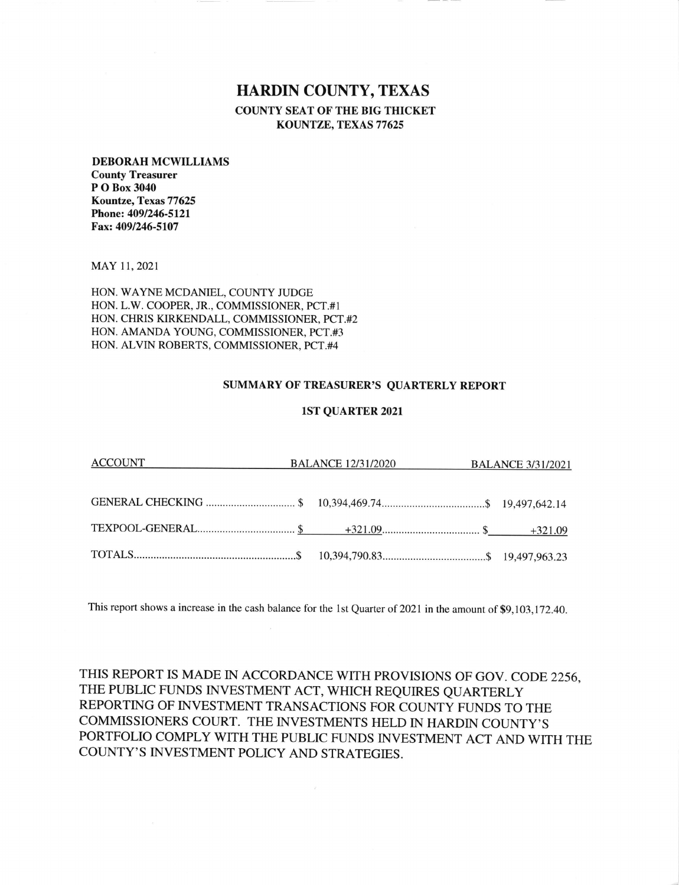## HARDIN COUNTY, TEXAS COUNTY SEAT OF THE BIG THICKET KOUNTZE, TEXAS 77625

## DEBORAH MCWILLIAMS

County Treasurer P O Box 3040 Kountze, Texas77625 Phone: 4091246-512l Fax: 4091246-5107

MAY 11,2021

HON. WAYNE MCDANIEL, COUNTY JUDGE L.W. COOPER, JR., COMMISSIONER, PCT.#I HON CHRIS KIRKENDALL, COMMISSIONER, PCT.#2 HON AMANDA YOUNG, COMMISSIONER, PCT.#3 HON ALVIN ROBERTS, COMMISSIONER, PCT.#4 HON

## SUMMARY OF TREASURER'S QUARTERLY REPORT

## 1ST QUARTER 2021

| <u>ACCOUNT</u> | <b>BALANCE 12/31/2020 BALANCE 3/31/2021</b> |  |
|----------------|---------------------------------------------|--|
|                |                                             |  |
|                |                                             |  |
|                |                                             |  |

This report shows a increase in the cash balance for the 1st Quarter of 2021 in the amount of \$9,103,172.40.

THIS REPORT IS MADE IN ACCORDANCE WITH PROVISIONS OF GOV. CODE 2256, THE PUBLIC FUNDS INVESTMENT ACT, WHICH REQUIRES QUARTERLY REPORTING OF INVESTMENT TRANSACTIONS FOR COUNTY FUNDS TO THE COMMISSIONERS COURT. THE INVESTMENTS HELD IN HARDIN COUNTY'S PORTFOLIO COMPLY WITH THE PUBLIC FUNDS INVESTMENT ACT AND WITH THE COUNTY'S INVESTMENT POLICY AND STRATEGIES.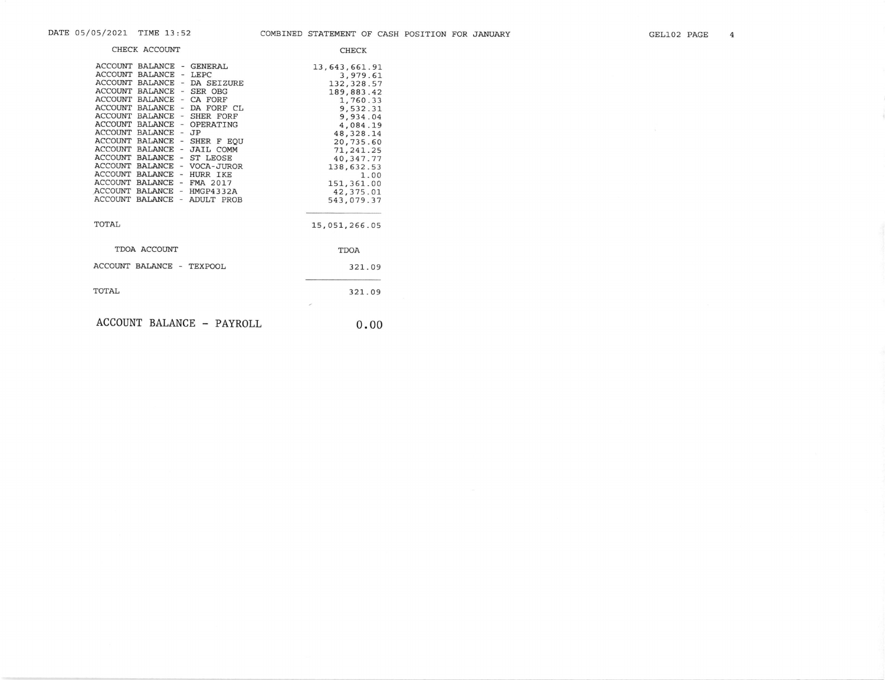| CHECK ACCOUNT                                                                                                                                                                                                                                                                                                                                                                                                                                                                                                                                                                                                             | <b>CHECK</b>                                                                                                                                                                                                                 |
|---------------------------------------------------------------------------------------------------------------------------------------------------------------------------------------------------------------------------------------------------------------------------------------------------------------------------------------------------------------------------------------------------------------------------------------------------------------------------------------------------------------------------------------------------------------------------------------------------------------------------|------------------------------------------------------------------------------------------------------------------------------------------------------------------------------------------------------------------------------|
| ACCOUNT BALANCE - GENERAL<br><b>ACCOUNT</b><br>BALANCE<br>- LEPC<br>ACCOUNT BALANCE -<br>DA SEIZURE<br><b>ACCOUNT BALANCE</b><br>SER OBG<br>$\sim$<br><b>ACCOUNT BALANCE</b><br>- CA FORF<br>ACCOUNT BALANCE - DA FORF CL<br>ACCOUNT BALANCE -<br>SHER FORF<br><b>ACCOUNT BALANCE</b><br>OPERATING<br>$\sim$<br>ACCOUNT<br><b>BALANCE</b><br>- JP<br>ACCOUNT BALANCE - SHER F EOU<br>ACCOUNT BALANCE -<br><b>JAIL COMM</b><br>ACCOUNT BALANCE - ST LEOSE<br>ACCOUNT BALANCE - VOCA-JUROR<br>ACCOUNT<br>BALANCE - HURR IKE<br>ACCOUNT<br>BALANCE - FMA 2017<br>ACCOUNT BALANCE - HMGP4332A<br>ACCOUNT BALANCE - ADULT PROB | 13,643,661.91<br>3,979.61<br>132, 328.57<br>189,883.42<br>1,760.33<br>9,532.31<br>9,934.04<br>4,084.19<br>48, 328.14<br>20,735.60<br>71, 241.25<br>40,347.77<br>138,632.53<br>1.00<br>151,361.00<br>42, 375.01<br>543,079.37 |
| TOTAL                                                                                                                                                                                                                                                                                                                                                                                                                                                                                                                                                                                                                     | 15,051,266.05                                                                                                                                                                                                                |
| TDOA ACCOUNT                                                                                                                                                                                                                                                                                                                                                                                                                                                                                                                                                                                                              | <b>TDOA</b>                                                                                                                                                                                                                  |
| ACCOUNT BALANCE - TEXPOOL                                                                                                                                                                                                                                                                                                                                                                                                                                                                                                                                                                                                 | 321.09                                                                                                                                                                                                                       |
| TOTAL                                                                                                                                                                                                                                                                                                                                                                                                                                                                                                                                                                                                                     | 321.09                                                                                                                                                                                                                       |
| ACCOUNT BALANCE - PAYROLL                                                                                                                                                                                                                                                                                                                                                                                                                                                                                                                                                                                                 | 0.00                                                                                                                                                                                                                         |